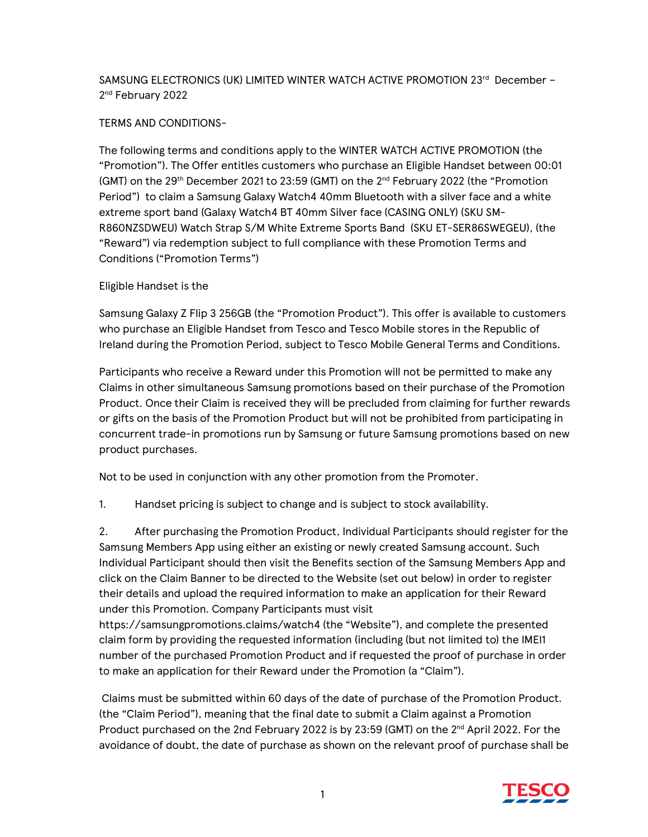## SAMSUNG ELECTRONICS (UK) LIMITED WINTER WATCH ACTIVE PROMOTION 23rd December -2<sup>nd</sup> February 2022

## TERMS AND CONDITIONS-

The following terms and conditions apply to the WINTER WATCH ACTIVE PROMOTION (the "Promotion"). The Offer entitles customers who purchase an Eligible Handset between 00:01 (GMT) on the 29<sup>th</sup> December 2021 to 23:59 (GMT) on the  $2<sup>nd</sup>$  February 2022 (the "Promotion Period") to claim a Samsung Galaxy Watch4 40mm Bluetooth with a silver face and a white extreme sport band (Galaxy Watch4 BT 40mm Silver face (CASING ONLY) (SKU SM-R860NZSDWEU) Watch Strap S/M White Extreme Sports Band (SKU ET-SER86SWEGEU), (the "Reward") via redemption subject to full compliance with these Promotion Terms and Conditions ("Promotion Terms")

## Eligible Handset is the

Samsung Galaxy Z Flip 3 256GB (the "Promotion Product"). This offer is available to customers who purchase an Eligible Handset from Tesco and Tesco Mobile stores in the Republic of Ireland during the Promotion Period, subject to Tesco Mobile General Terms and Conditions.

Participants who receive a Reward under this Promotion will not be permitted to make any Claims in other simultaneous Samsung promotions based on their purchase of the Promotion Product. Once their Claim is received they will be precluded from claiming for further rewards or gifts on the basis of the Promotion Product but will not be prohibited from participating in concurrent trade-in promotions run by Samsung or future Samsung promotions based on new product purchases.

Not to be used in conjunction with any other promotion from the Promoter.

1. Handset pricing is subject to change and is subject to stock availability.

2. After purchasing the Promotion Product, Individual Participants should register for the Samsung Members App using either an existing or newly created Samsung account. Such Individual Participant should then visit the Benefits section of the Samsung Members App and click on the Claim Banner to be directed to the Website (set out below) in order to register their details and upload the required information to make an application for their Reward under this Promotion. Company Participants must visit

https://samsungpromotions.claims/watch4 (the "Website"), and complete the presented claim form by providing the requested information (including (but not limited to) the IMEI1 number of the purchased Promotion Product and if requested the proof of purchase in order to make an application for their Reward under the Promotion (a "Claim").

 Claims must be submitted within 60 days of the date of purchase of the Promotion Product. (the "Claim Period"), meaning that the final date to submit a Claim against a Promotion Product purchased on the 2nd February 2022 is by 23:59 (GMT) on the 2<sup>nd</sup> April 2022. For the avoidance of doubt, the date of purchase as shown on the relevant proof of purchase shall be